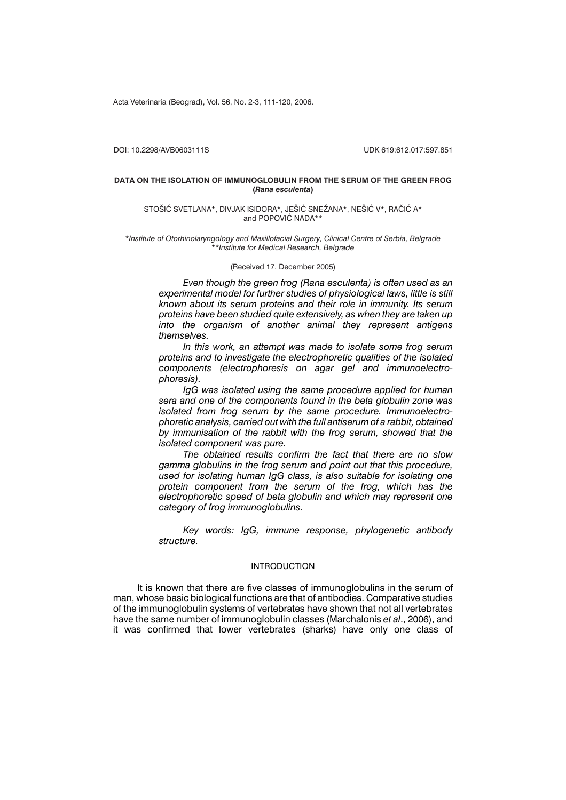Acta Veterinaria (Beograd), Vol. 56, No. 2-3, 111-120, 2006.

DOI: 10.2298/AVB0603111S UDK 619:612.017:597.851

#### **DATA ON THE ISOLATION OF IMMUNOGLOBULIN FROM THE SERUM OF THE GREEN FROG (***Rana esculenta***)**

#### STOŠIĆ SVETLANA\*, DIVJAK ISIDORA\*, JEŠIĆ SNEŽANA\*, NEŠIĆ V\*, RAČIĆ A\* and POPOVIC NADA\*\*

\**Institute of Otorhinolaryngology and Maxillofacial Surgery, Clinical Centre of Serbia, Belgrade* \*\**Institute for Medical Research, Belgrade*

#### (Received 17. December 2005)

*Even though the green frog (Rana esculenta) is often used as an experimental model for further studies of physiological laws, little is still known about its serum proteins and their role in immunity. Its serum proteins have been studied quite extensively, as when they are taken up into the organism of another animal they represent antigens themselves.*

*In this work, an attempt was made to isolate some frog serum proteins and to investigate the electrophoretic qualities of the isolated components (electrophoresis on agar gel and immunoelectrophoresis).*

*IgG was isolated using the same procedure applied for human sera and one of the components found in the beta globulin zone was isolated from frog serum by the same procedure. Immunoelectrophoretic analysis, carried out with the full antiserum of a rabbit, obtained by immunisation of the rabbit with the frog serum, showed that the isolated component was pure.*

*The obtained results confirm the fact that there are no slow gamma globulins in the frog serum and point out that this procedure, used for isolating human IgG class, is also suitable for isolating one protein component from the serum of the frog, which has the electrophoretic speed of beta globulin and which may represent one category of frog immunoglobulins.*

*Key words: IgG, immune response, phylogenetic antibody structure.*

## INTRODUCTION

It is known that there are five classes of immunoglobulins in the serum of man, whose basic biological functions are that of antibodies. Comparative studies of the immunoglobulin systems of vertebrates have shown that not all vertebrates have the same number of immunoglobulin classes (Marchalonis *et al*., 2006), and it was confirmed that lower vertebrates (sharks) have only one class of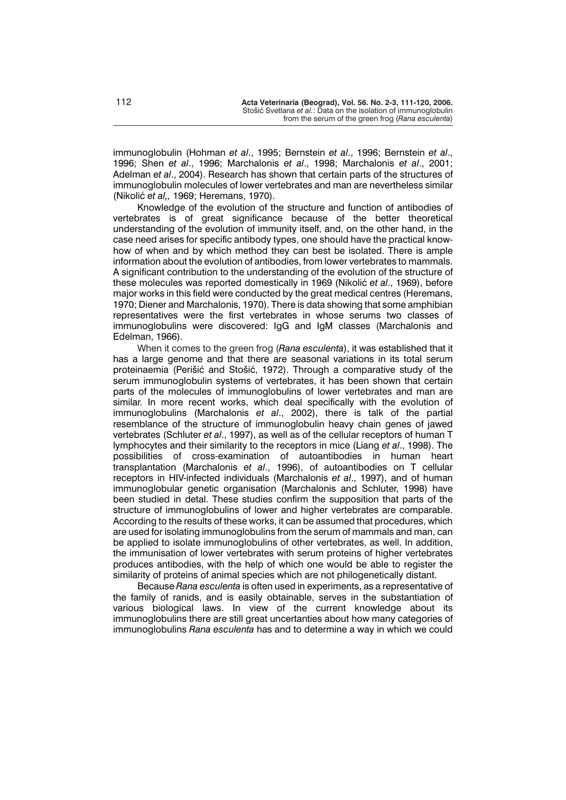immunoglobulin (Hohman *et al*., 1995; Bernstein *et al*., 1996; Bernstein *et al*., 1996; Shen *et al*., 1996; Marchalonis *et al*., 1998; Marchalonis *et al*., 2001; Adelman *et al*., 2004). Research has shown that certain parts of the structures of immunoglobulin molecules of lower vertebrates and man are nevertheless similar (Nikoli} *et al,,* 1969; Heremans, 1970).

Knowledge of the evolution of the structure and function of antibodies of vertebrates is of great significance because of the better theoretical understanding of the evolution of immunity itself, and, on the other hand, in the case need arises for specific antibody types, one should have the practical knowhow of when and by which method they can best be isolated. There is ample information about the evolution of antibodies, from lower vertebrates to mammals. A significant contribution to the understanding of the evolution of the structure of these molecules was reported domestically in 1969 (Nikolić *et al.*, 1969), before major works in this field were conducted by the great medical centres (Heremans, 1970; Diener and Marchalonis, 1970). There is data showing that some amphibian representatives were the first vertebrates in whose serums two classes of immunoglobulins were discovered: IgG and IgM classes (Marchalonis and Edelman, 1966).

When it comes to the green frog (*Rana esculenta*), it was established that it has a large genome and that there are seasonal variations in its total serum proteinaemia (Perišić and Stošić, 1972). Through a comparative study of the serum immunoglobulin systems of vertebrates, it has been shown that certain parts of the molecules of immunoglobulins of lower vertebrates and man are similar. In more recent works, which deal specifically with the evolution of immunoglobulins (Marchalonis *et al*., 2002), there is talk of the partial resemblance of the structure of immunoglobulin heavy chain genes of jawed vertebrates (Schluter *et al*., 1997), as well as of the cellular receptors of human T lymphocytes and their similarity to the receptors in mice (Liang *et al*., 1998). The possibilities of cross-examination of autoantibodies in human heart transplantation (Marchalonis *et al*., 1996), of autoantibodies on T cellular receptors in HIV-infected individuals (Marchalonis *et al*., 1997), and of human immunoglobular genetic organisation (Marchalonis and Schluter, 1998) have been studied in detal. These studies confirm the supposition that parts of the structure of immunoglobulins of lower and higher vertebrates are comparable. According to the results of these works, it can be assumed that procedures, which are used for isolating immunoglobulins from the serum of mammals and man, can be applied to isolate immunoglobulins of other vertebrates, as well. In addition, the immunisation of lower vertebrates with serum proteins of higher vertebrates produces antibodies, with the help of which one would be able to register the similarity of proteins of animal species which are not philogenetically distant.

Because *Rana esculenta* is often used in experiments, as a representative of the family of ranids, and is easily obtainable, serves in the substantiation of various biological laws. In view of the current knowledge about its immunoglobulins there are still great uncertanties about how many categories of immunoglobulins *Rana esculenta* has and to determine a way in which we could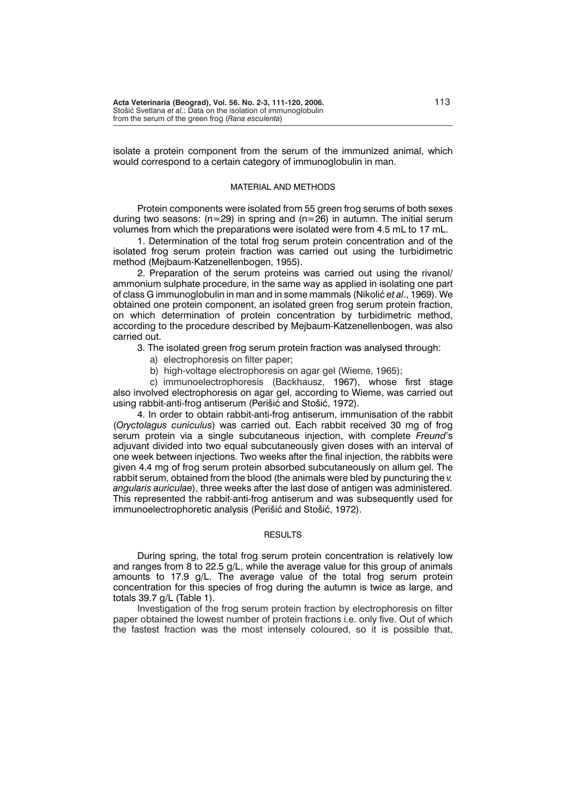isolate a protein component from the serum of the immunized animal, which would correspond to a certain category of immunoglobulin in man.

#### MATERIAL AND METHODS

Protein components were isolated from 55 green frog serums of both sexes during two seasons:  $(n=29)$  in spring and  $(n=26)$  in autumn. The initial serum volumes from which the preparations were isolated were from 4.5 mL to 17 mL.

1. Determination of the total frog serum protein concentration and of the isolated frog serum protein fraction was carried out using the turbidimetric method (Mejbaum-Katzenellenbogen, 1955).

2. Preparation of the serum proteins was carried out using the rivanol/ ammonium sulphate procedure, in the same way as applied in isolating one part of class G immunoglobulin in man and in some mammals (Nikolić et al., 1969). We obtained one protein component, an isolated green frog serum protein fraction, on which determination of protein concentration by turbidimetric method, according to the procedure described by Mejbaum-Katzenellenbogen, was also carried out.

3. The isolated green frog serum protein fraction was analysed through:

- a) electrophoresis on filter paper;
- b) high-voltage electrophoresis on agar gel (Wieme, 1965);

c) immunoelectrophoresis (Backhausz, 1967), whose first stage also involved electrophoresis on agar gel, according to Wieme, was carried out using rabbit-anti-frog antiserum (Perišić and Stošić, 1972).

4. In order to obtain rabbit-anti-frog antiserum, immunisation of the rabbit (*Oryctolagus cuniculus*) was carried out. Each rabbit received 30 mg of frog serum protein via a single subcutaneous injection, with complete *Freund*'s adjuvant divided into two equal subcutaneously given doses with an interval of one week between injections. Two weeks after the final injection, the rabbits were given 4.4 mg of frog serum protein absorbed subcutaneously on allum gel. The rabbit serum, obtained from the blood (the animals were bled by puncturing the *v. angularis auriculae*), three weeks after the last dose of antigen was administered. This represented the rabbit-anti-frog antiserum and was subsequently used for immunoelectrophoretic analysis (Perišić and Stošić, 1972).

# **RESULTS**

During spring, the total frog serum protein concentration is relatively low and ranges from 8 to 22.5 g/L, while the average value for this group of animals amounts to 17.9 g/L. The average value of the total frog serum protein concentration for this species of frog during the autumn is twice as large, and totals 39.7 g/L (Table 1).

Investigation of the frog serum protein fraction by electrophoresis on filter paper obtained the lowest number of protein fractions i.e. only five. Out of which the fastest fraction was the most intensely coloured, so it is possible that,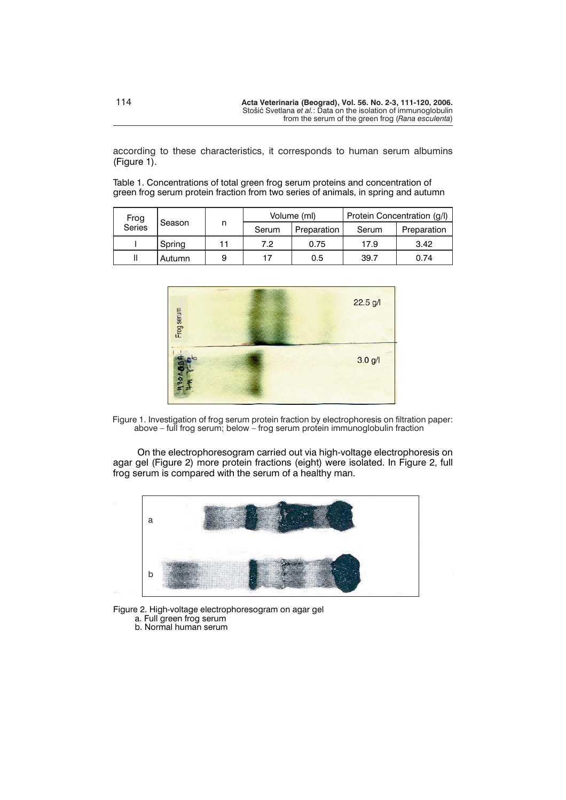according to these characteristics, it corresponds to human serum albumins (Figure 1).

Table 1. Concentrations of total green frog serum proteins and concentration of green frog serum protein fraction from two series of animals, in spring and autumn

| Frog<br>Series | Season | n | Volume (ml) |             | Protein Concentration (q/l) |             |
|----------------|--------|---|-------------|-------------|-----------------------------|-------------|
|                |        |   | Serum       | Preparation | Serum                       | Preparation |
|                | Spring |   | 7.2         | 0.75        | 17.9                        | 3.42        |
|                | Autumn | 9 | 17          | 0.5         | 39.7                        | 0.74        |



Figure 1. Investigation of frog serum protein fraction by electrophoresis on filtration paper: above – full frog serum; below – frog serum protein immunoglobulin fraction

On the electrophoresogram carried out via high-voltage electrophoresis on agar gel (Figure 2) more protein fractions (eight) were isolated. In Figure 2, full frog serum is compared with the serum of a healthy man.



Figure 2. High-voltage electrophoresogram on agar gel a. Full green frog serum

b. Normal human serum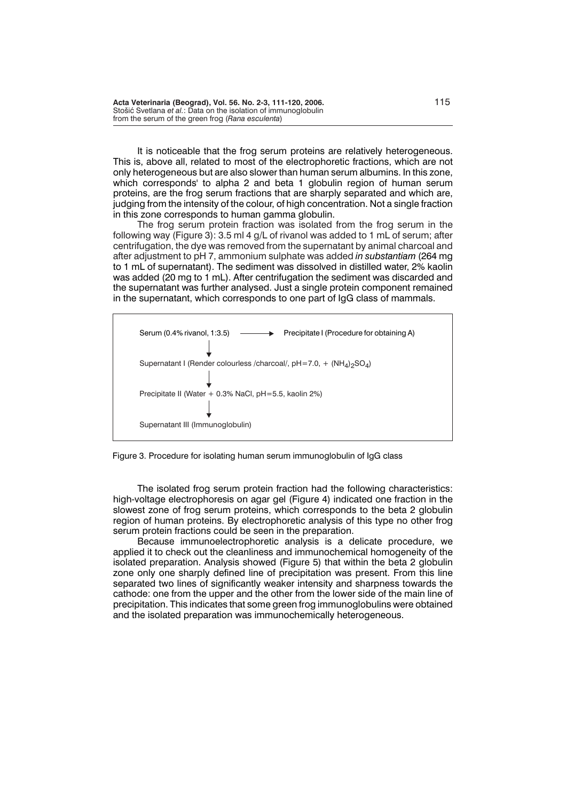It is noticeable that the frog serum proteins are relatively heterogeneous. This is, above all, related to most of the electrophoretic fractions, which are not only heterogeneous but are also slower than human serum albumins. In this zone, which corresponds' to alpha 2 and beta 1 globulin region of human serum proteins, are the frog serum fractions that are sharply separated and which are, judging from the intensity of the colour, of high concentration. Not a single fraction in this zone corresponds to human gamma globulin.

The frog serum protein fraction was isolated from the frog serum in the following way (Figure 3): 3.5 ml 4 g/L of rivanol was added to 1 mL of serum; after centrifugation, the dye was removed from the supernatant by animal charcoal and after adjustment to pH 7, ammonium sulphate was added *in substantiam* (264 mg to 1 mL of supernatant). The sediment was dissolved in distilled water, 2% kaolin was added (20 mg to 1 mL). After centrifugation the sediment was discarded and the supernatant was further analysed. Just a single protein component remained in the supernatant, which corresponds to one part of IgG class of mammals.



Figure 3. Procedure for isolating human serum immunoglobulin of IgG class

The isolated frog serum protein fraction had the following characteristics: high-voltage electrophoresis on agar gel (Figure 4) indicated one fraction in the slowest zone of frog serum proteins, which corresponds to the beta 2 globulin region of human proteins. By electrophoretic analysis of this type no other frog serum protein fractions could be seen in the preparation.

Because immunoelectrophoretic analysis is a delicate procedure, we applied it to check out the cleanliness and immunochemical homogeneity of the isolated preparation. Analysis showed (Figure 5) that within the beta 2 globulin zone only one sharply defined line of precipitation was present. From this line separated two lines of significantly weaker intensity and sharpness towards the cathode: one from the upper and the other from the lower side of the main line of precipitation. This indicates that some green frog immunoglobulins were obtained and the isolated preparation was immunochemically heterogeneous.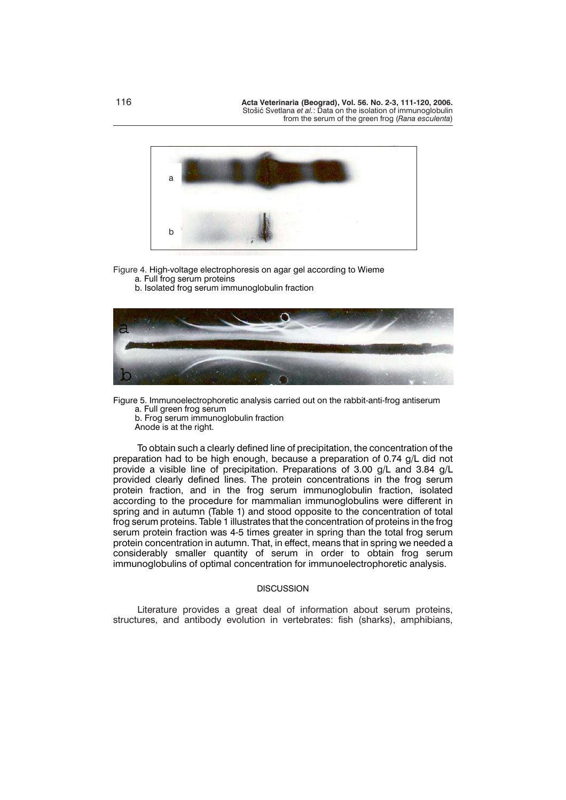

# Figure 4. High-voltage electrophoresis on agar gel according to Wieme

a. Full frog serum proteins b. Isolated frog serum immunoglobulin fraction



Figure 5. Immunoelectrophoretic analysis carried out on the rabbit-anti-frog antiserum a. Full green frog serum b. Frog serum immunoglobulin fraction

Anode is at the right.

To obtain such a clearly defined line of precipitation, the concentration of the preparation had to be high enough, because a preparation of 0.74 g/L did not provide a visible line of precipitation. Preparations of 3.00 g/L and 3.84 g/L provided clearly defined lines. The protein concentrations in the frog serum protein fraction, and in the frog serum immunoglobulin fraction, isolated according to the procedure for mammalian immunoglobulins were different in spring and in autumn (Table 1) and stood opposite to the concentration of total frog serum proteins. Table 1 illustrates that the concentration of proteins in the frog serum protein fraction was 4-5 times greater in spring than the total frog serum protein concentration in autumn. That, in effect, means that in spring we needed a considerably smaller quantity of serum in order to obtain frog serum immunoglobulins of optimal concentration for immunoelectrophoretic analysis.

### **DISCUSSION**

Literature provides a great deal of information about serum proteins, structures, and antibody evolution in vertebrates: fish (sharks), amphibians,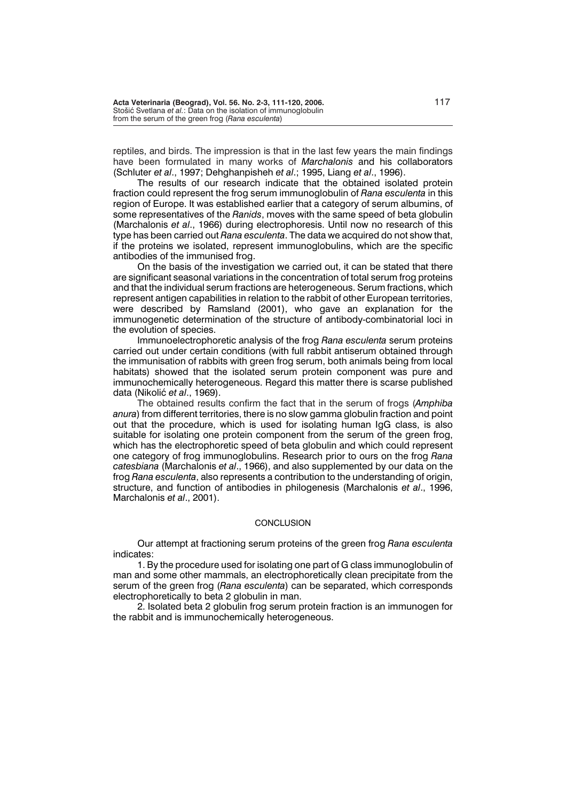reptiles, and birds. The impression is that in the last few years the main findings have been formulated in many works of *Marchalonis* and his collaborators (Schluter *et al*., 1997; Dehghanpisheh *et al*.; 1995, Liang *et al*., 1996).

The results of our research indicate that the obtained isolated protein fraction could represent the frog serum immunoglobulin of *Rana esculenta* in this region of Europe. It was established earlier that a category of serum albumins, of some representatives of the *Ranids*, moves with the same speed of beta globulin (Marchalonis *et al*., 1966) during electrophoresis. Until now no research of this type has been carried out *Rana esculenta*. The data we acquired do not show that, if the proteins we isolated, represent immunoglobulins, which are the specific antibodies of the immunised frog.

On the basis of the investigation we carried out, it can be stated that there are significant seasonal variations in the concentration of total serum frog proteins and that the individual serum fractions are heterogeneous. Serum fractions, which represent antigen capabilities in relation to the rabbit of other European territories, were described by Ramsland (2001), who gave an explanation for the immunogenetic determination of the structure of antibody-combinatorial loci in the evolution of species.

Immunoelectrophoretic analysis of the frog *Rana esculenta* serum proteins carried out under certain conditions (with full rabbit antiserum obtained through the immunisation of rabbits with green frog serum, both animals being from local habitats) showed that the isolated serum protein component was pure and immunochemically heterogeneous. Regard this matter there is scarse published data (Nikoli} *et al*., 1969).

The obtained results confirm the fact that in the serum of frogs (*Amphiba anura*) from different territories, there is no slow gamma globulin fraction and point out that the procedure, which is used for isolating human IgG class, is also suitable for isolating one protein component from the serum of the green frog, which has the electrophoretic speed of beta globulin and which could represent one category of frog immunoglobulins. Research prior to ours on the frog *Rana catesbiana* (Marchalonis *et al*., 1966), and also supplemented by our data on the frog *Rana esculenta*, also represents a contribution to the understanding of origin, structure, and function of antibodies in philogenesis (Marchalonis *et al*., 1996, Marchalonis *et al*., 2001).

#### **CONCLUSION**

Our attempt at fractioning serum proteins of the green frog *Rana esculenta* indicates:

1. By the procedure used for isolating one part of G class immunoglobulin of man and some other mammals, an electrophoretically clean precipitate from the serum of the green frog (*Rana esculenta*) can be separated, which corresponds electrophoretically to beta 2 globulin in man.

2. Isolated beta 2 globulin frog serum protein fraction is an immunogen for the rabbit and is immunochemically heterogeneous.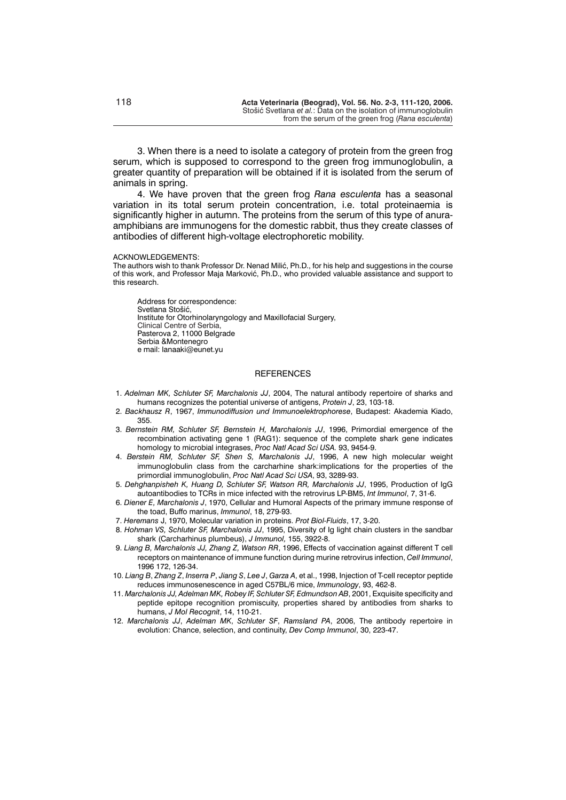3. When there is a need to isolate a category of protein from the green frog serum, which is supposed to correspond to the green frog immunoglobulin, a greater quantity of preparation will be obtained if it is isolated from the serum of animals in spring.

4. We have proven that the green frog *Rana esculenta* has a seasonal variation in its total serum protein concentration, i.e. total proteinaemia is significantly higher in autumn. The proteins from the serum of this type of anuraamphibians are immunogens for the domestic rabbit, thus they create classes of antibodies of different high-voltage electrophoretic mobility.

#### ACKNOWLEDGEMENTS:

The authors wish to thank Professor Dr. Nenad Milić, Ph.D., for his help and suggestions in the course of this work, and Professor Maja Marković, Ph.D., who provided valuable assistance and support to this research.

Address for correspondence: Svetlana Stošić, Institute for Otorhinolaryngology and Maxillofacial Surgery, Clinical Centre of Serbia, Pasterova 2, 11000 Belgrade Serbia &Montenegro e mail: lanaaki@eunet.yu

#### **REFERENCES**

- 1. *Adelman MK, Schluter SF, Marchalonis JJ*, 2004, The natural antibody repertoire of sharks and humans recognizes the potential universe of antigens, *Protein J*, 23, 103-18.
- 2. *Backhausz R*, 1967, *Immunodiffusion und Immunoelektrophorese*, Budapest: Akademia Kiado, 355.
- 3. *Bernstein RM, Schluter SF, Bernstein H, Marchalonis JJ*, 1996, Primordial emergence of the recombination activating gene 1 (RAG1): sequence of the complete shark gene indicates homology to microbial integrases, *Proc Natl Acad Sci USA.* 93, 9454-9.
- 4. *Berstein RM, Schluter SF, Shen S, Marchalonis JJ*, 1996, A new high molecular weight immunoglobulin class from the carcharhine shark:implications for the properties of the primordial immunoglobulin, *Proc Natl Acad Sci USA*, 93, 3289-93.
- 5. *Dehghanpisheh K, Huang D, Schluter SF, Watson RR, Marchalonis JJ*, 1995, Production of IgG autoantibodies to TCRs in mice infected with the retrovirus LP-BM5, *Int Immunol*, 7, 31-6.
- 6. *Diener E, Marchalonis J*, 1970, Cellular and Humoral Aspects of the primary immune response of the toad, Buffo marinus, *Immunol*, 18, 279-93.
- 7. *Heremans* J, 1970, Molecular variation in proteins. *Prot Biol-Fluids*, 17, 3-20.
- 8. *Hohman VS, Schluter SF, Marchalonis JJ*, 1995, Diversity of Ig light chain clusters in the sandbar shark (Carcharhinus plumbeus), *J Immunol,* 155, 3922-8.
- 9. *Liang B, Marchalonis JJ, Zhang Z, Watson RR*, 1996, Effects of vaccination against different T cell receptors on maintenance of immune function during murine retrovirus infection, *Cell Immunol*, 1996 172, 126-34.
- 10. *Liang B*, *Zhang Z*, *Inserra P*, *Jiang S*, *Lee J*, *Garza A*, et al., 1998, Injection of T-cell receptor peptide reduces immunosenescence in aged C57BL/6 mice, *Immunology*, 93, 462-8.
- 11. *Marchalonis JJ, Adelman MK, Robey IF, Schluter SF, Edmundson AB*, 2001, Exquisite specificity and peptide epitope recognition promiscuity, properties shared by antibodies from sharks to humans, *J Mol Recognit*, 14, 110-21.
- 12. *Marchalonis JJ*, *Adelman MK*, *Schluter SF*, *Ramsland PA*, 2006, The antibody repertoire in evolution: Chance, selection, and continuity, *Dev Comp Immunol*, 30, 223-47.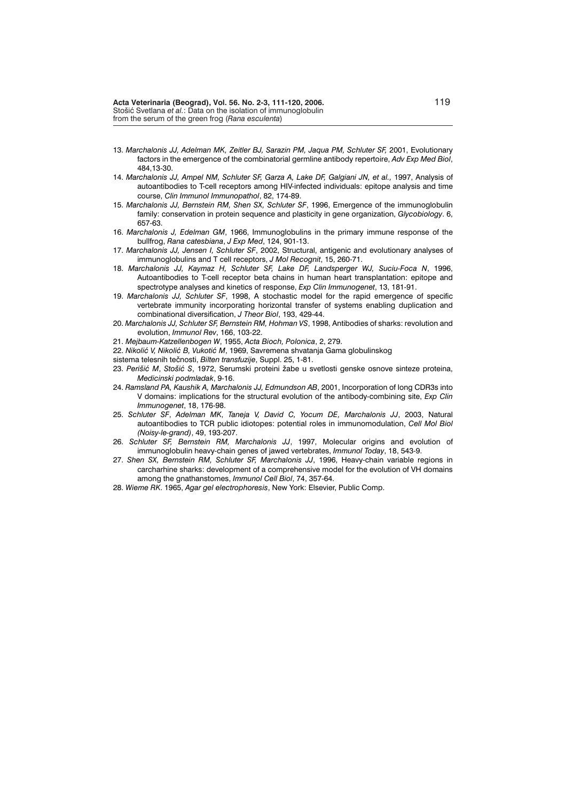- 13. *Marchalonis JJ, Adelman MK, Zeitler BJ, Sarazin PM, Jaqua PM, Schluter SF,* 2001, Evolutionary factors in the emergence of the combinatorial germline antibody repertoire, *Adv Exp Med Biol*, 484,13-30.
- 14. *Marchalonis JJ, Ampel NM, Schluter SF, Garza A, Lake DF, Galgiani JN, et al.,* 1997, Analysis of autoantibodies to T-cell receptors among HIV-infected individuals: epitope analysis and time course, *Clin Immunol Immunopathol*, 82, 174-89.
- 15. *Marchalonis JJ, Bernstein RM, Shen SX, Schluter SF*, 1996, Emergence of the immunoglobulin family: conservation in protein sequence and plasticity in gene organization, *Glycobiology*. 6, 657-63.
- 16. *Marchalonis J, Edelman GM*, 1966, Immunoglobulins in the primary immune response of the bullfrog, *Rana catesbiana*, *J Exp Med*, 124, 901-13.
- 17. *Marchalonis JJ, Jensen I, Schluter SF*, 2002, Structural, antigenic and evolutionary analyses of immunoglobulins and T cell receptors, *J Mol Recognit*, 15, 260-71.
- 18. *Marchalonis JJ, Kaymaz H, Schluter SF, Lake DF, Landsperger WJ, Suciu-Foca N*, 1996, Autoantibodies to T-cell receptor beta chains in human heart transplantation: epitope and spectrotype analyses and kinetics of response, *Exp Clin Immunogenet*, 13, 181-91.
- 19. *Marchalonis JJ, Schluter SF*, 1998, A stochastic model for the rapid emergence of specific vertebrate immunity incorporating horizontal transfer of systems enabling duplication and combinational diversification, *J Theor Biol*, 193, 429-44.
- 20. *Marchalonis JJ, Schluter SF, Bernstein RM, Hohman VS*, 1998, Antibodies of sharks: revolution and evolution, *Immunol Rev*, 166, 103-22.
- 21. *Mejbaum-Katzellenbogen W*, 1955, *Acta Bioch, Polonica*, 2, 279.
- 22. Nikolić V, Nikolić B, Vukotić M, 1969, Savremena shvatanja Gama globulinskog
- sistema telesnih tečnosti, *Bilten transfuzije*, Suppl. 25, 1-81.
- 23. Perišić M, Stošić S, 1972, Serumski proteini žabe u svetlosti genske osnove sinteze proteina, *Medicinski podmladak*, 9-16.
- 24. *Ramsland PA, Kaushik A, Marchalonis JJ, Edmundson AB*, 2001, Incorporation of long CDR3s into V domains: implications for the structural evolution of the antibody-combining site, *Exp Clin Immunogenet*, 18, 176-98.
- 25. *Schluter SF*, *Adelman MK*, *Taneja V, David C, Yocum DE, Marchalonis JJ*, 2003, Natural autoantibodies to TCR public idiotopes: potential roles in immunomodulation, *Cell Mol Biol (Noisy-le-grand)*, 49, 193-207.
- 26. *Schluter SF, Bernstein RM, Marchalonis JJ*, 1997, Molecular origins and evolution of immunoglobulin heavy-chain genes of jawed vertebrates, *Immunol Today*, 18, 543-9.
- 27. *Shen SX, Bernstein RM, Schluter SF, Marchalonis JJ*, 1996, Heavy-chain variable regions in carcharhine sharks: development of a comprehensive model for the evolution of VH domains among the gnathanstomes, *Immunol Cell Biol*, 74, 357-64.
- 28. *Wieme RK*. 1965, *Agar gel electrophoresis*, New York: Elsevier, Public Comp.